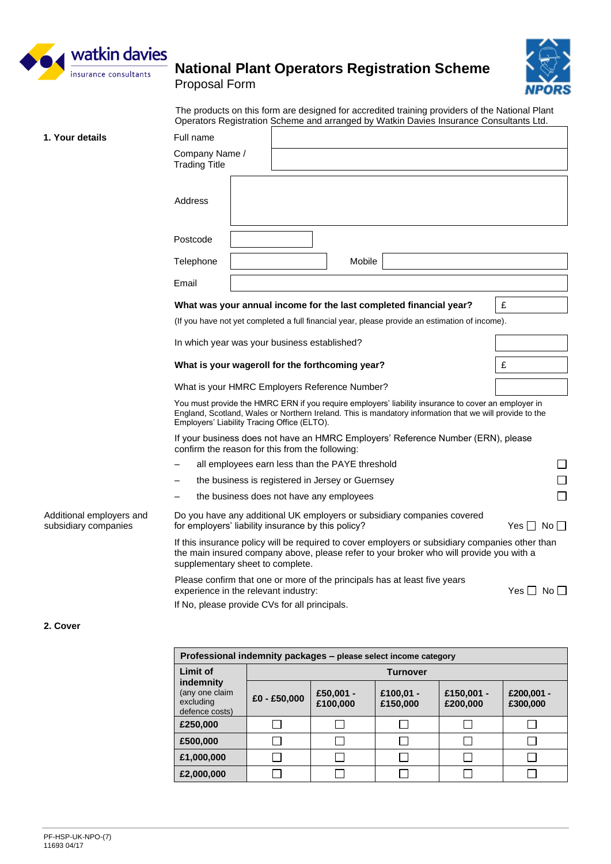

Proposal Form



The products on this form are designed for accredited training providers of the National Plant Operators Registration Scheme and arranged by Watkin Davies Insurance Consultants Ltd.

| 1. Your details                                  | Full name                                                                                                                                                                                                                                                     |                                              |  |                                                  |  |                                                                         |                      |  |
|--------------------------------------------------|---------------------------------------------------------------------------------------------------------------------------------------------------------------------------------------------------------------------------------------------------------------|----------------------------------------------|--|--------------------------------------------------|--|-------------------------------------------------------------------------|----------------------|--|
|                                                  | Company Name /<br><b>Trading Title</b>                                                                                                                                                                                                                        |                                              |  |                                                  |  |                                                                         |                      |  |
|                                                  | Address                                                                                                                                                                                                                                                       |                                              |  |                                                  |  |                                                                         |                      |  |
|                                                  | Postcode                                                                                                                                                                                                                                                      |                                              |  |                                                  |  |                                                                         |                      |  |
|                                                  | Telephone                                                                                                                                                                                                                                                     |                                              |  | Mobile                                           |  |                                                                         |                      |  |
|                                                  | Email                                                                                                                                                                                                                                                         |                                              |  |                                                  |  |                                                                         |                      |  |
|                                                  | What was your annual income for the last completed financial year?                                                                                                                                                                                            |                                              |  |                                                  |  |                                                                         | £                    |  |
|                                                  | (If you have not yet completed a full financial year, please provide an estimation of income).                                                                                                                                                                |                                              |  |                                                  |  |                                                                         |                      |  |
|                                                  |                                                                                                                                                                                                                                                               | In which year was your business established? |  |                                                  |  |                                                                         |                      |  |
|                                                  | What is your wageroll for the forthcoming year?                                                                                                                                                                                                               |                                              |  |                                                  |  |                                                                         | £                    |  |
|                                                  | What is your HMRC Employers Reference Number?                                                                                                                                                                                                                 |                                              |  |                                                  |  |                                                                         |                      |  |
|                                                  | You must provide the HMRC ERN if you require employers' liability insurance to cover an employer in<br>England, Scotland, Wales or Northern Ireland. This is mandatory information that we will provide to the<br>Employers' Liability Tracing Office (ELTO). |                                              |  |                                                  |  |                                                                         |                      |  |
|                                                  | If your business does not have an HMRC Employers' Reference Number (ERN), please<br>confirm the reason for this from the following:                                                                                                                           |                                              |  |                                                  |  |                                                                         |                      |  |
|                                                  |                                                                                                                                                                                                                                                               |                                              |  | all employees earn less than the PAYE threshold  |  |                                                                         |                      |  |
|                                                  |                                                                                                                                                                                                                                                               |                                              |  | the business is registered in Jersey or Guernsey |  |                                                                         |                      |  |
|                                                  |                                                                                                                                                                                                                                                               |                                              |  | the business does not have any employees         |  |                                                                         |                      |  |
| Additional employers and<br>subsidiary companies | for employers' liability insurance by this policy?                                                                                                                                                                                                            |                                              |  |                                                  |  | Do you have any additional UK employers or subsidiary companies covered | Yes I<br>No II       |  |
|                                                  | If this insurance policy will be required to cover employers or subsidiary companies other than<br>the main insured company above, please refer to your broker who will provide you with a<br>supplementary sheet to complete.                                |                                              |  |                                                  |  |                                                                         |                      |  |
|                                                  | Please confirm that one or more of the principals has at least five years<br>experience in the relevant industry:<br>If No, please provide CVs for all principals.                                                                                            |                                              |  |                                                  |  |                                                                         | Yes $\Box$ No $\Box$ |  |

#### **2. Cover**

| Professional indemnity packages – please select income category |                 |                       |                       |                        |                        |
|-----------------------------------------------------------------|-----------------|-----------------------|-----------------------|------------------------|------------------------|
| Limit of                                                        | <b>Turnover</b> |                       |                       |                        |                        |
| indemnity<br>(any one claim<br>excluding<br>defence costs)      | £0 - £50,000    | £50,001 -<br>£100,000 | £100,01 -<br>£150,000 | £150,001 -<br>£200,000 | £200,001 -<br>£300,000 |
| £250,000                                                        |                 |                       |                       |                        |                        |
| £500,000                                                        |                 |                       |                       |                        |                        |
| £1,000,000                                                      |                 |                       |                       |                        |                        |
| £2,000,000                                                      |                 |                       |                       |                        |                        |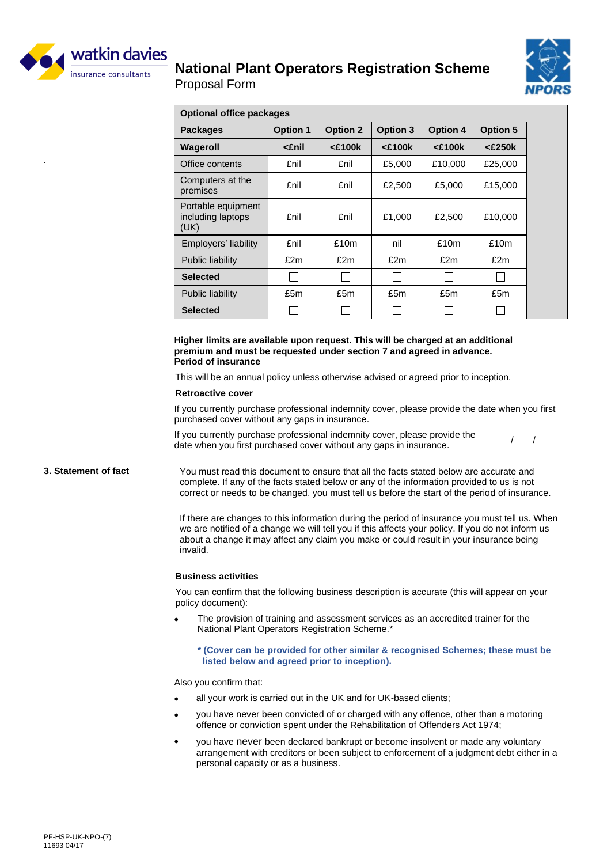



Proposal Form

| <b>Optional office packages</b>                 |                 |                 |                 |                 |                 |
|-------------------------------------------------|-----------------|-----------------|-----------------|-----------------|-----------------|
| <b>Packages</b>                                 | <b>Option 1</b> | <b>Option 2</b> | <b>Option 3</b> | <b>Option 4</b> | <b>Option 5</b> |
| Wageroll                                        | <£nil           | $<$ £100 $k$    | $<$ £100 $k$    | $<$ £100 $k$    | $<$ £250 $k$    |
| Office contents                                 | £nil            | £nil            | £5,000          | £10,000         | £25,000         |
| Computers at the<br>premises                    | £nil            | £nil            | £2,500          | £5,000          | £15,000         |
| Portable equipment<br>including laptops<br>(UK) | £nil            | £nil            | £1,000          | £2,500          | £10,000         |
| Employers' liability                            | £nil            | £10m            | nil             | £10m            | £10m            |
| <b>Public liability</b>                         | £2m             | £2m             | £2m             | £2m             | £2m             |
| <b>Selected</b>                                 | □               | $\Box$          | $\Box$          | $\Box$          |                 |
| Public liability                                | £5m             | £5m             | £5m             | £5m             | £5m             |
| <b>Selected</b>                                 | $\Box$          | П               |                 | $\Box$          | $\vert$         |

**Higher limits are available upon request. This will be charged at an additional premium and must be requested under section 7 and agreed in advance. Period of insurance**

This will be an annual policy unless otherwise advised or agreed prior to inception.

#### **Retroactive cover**

If you currently purchase professional indemnity cover, please provide the date when you first purchased cover without any gaps in insurance.

If you currently purchase professional indemnity cover, please provide the date when you first purchased cover without any gaps in insurance. / /

#### **3. Statement of fact** You must read this document to ensure that all the facts stated below are accurate and complete. If any of the facts stated below or any of the information provided to us is not correct or needs to be changed, you must tell us before the start of the period of insurance.

If there are changes to this information during the period of insurance you must tell us. When we are notified of a change we will tell you if this affects your policy. If you do not inform us about a change it may affect any claim you make or could result in your insurance being invalid.

#### **Business activities**

You can confirm that the following business description is accurate (this will appear on your policy document):

- The provision of training and assessment services as an accredited trainer for the National Plant Operators Registration Scheme.\*
	- **\* (Cover can be provided for other similar & recognised Schemes; these must be listed below and agreed prior to inception).**

Also you confirm that:

- all your work is carried out in the UK and for UK-based clients:
- you have never been convicted of or charged with any offence, other than a motoring offence or conviction spent under the Rehabilitation of Offenders Act 1974;
- you have never been declared bankrupt or become insolvent or made any voluntary arrangement with creditors or been subject to enforcement of a judgment debt either in a personal capacity or as a business.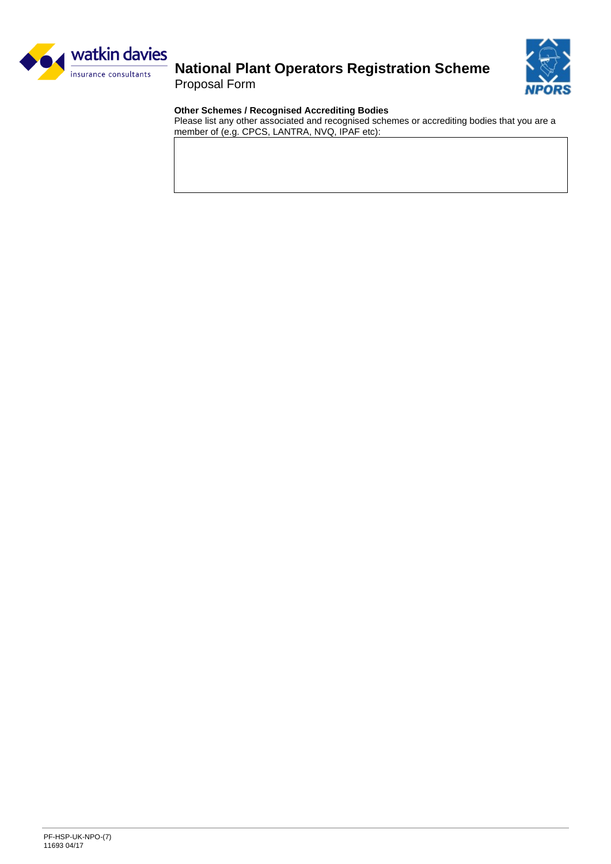

Proposal Form



### **Other Schemes / Recognised Accrediting Bodies**

Please list any other associated and recognised schemes or accrediting bodies that you are a member of (e.g. CPCS, LANTRA, NVQ, IPAF etc):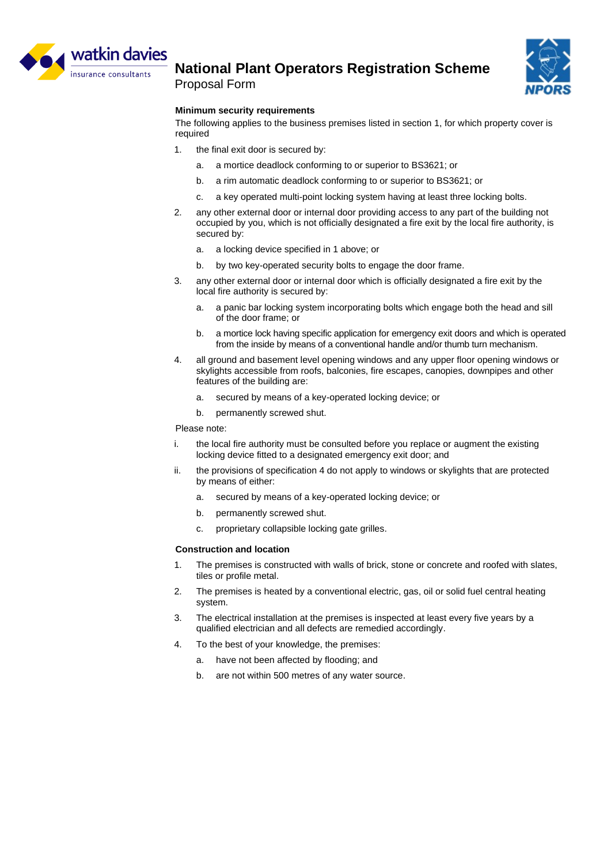

Proposal Form



#### **Minimum security requirements**

The following applies to the business premises listed in section 1, for which property cover is required

- 1. the final exit door is secured by:
	- a. a mortice deadlock conforming to or superior to BS3621; or
	- b. a rim automatic deadlock conforming to or superior to BS3621; or
	- c. a key operated multi-point locking system having at least three locking bolts.
- 2. any other external door or internal door providing access to any part of the building not occupied by you, which is not officially designated a fire exit by the local fire authority, is secured by:
	- a. a locking device specified in 1 above; or
	- b. by two key-operated security bolts to engage the door frame.
- 3. any other external door or internal door which is officially designated a fire exit by the local fire authority is secured by:
	- a. a panic bar locking system incorporating bolts which engage both the head and sill of the door frame; or
	- b. a mortice lock having specific application for emergency exit doors and which is operated from the inside by means of a conventional handle and/or thumb turn mechanism.
- 4. all ground and basement level opening windows and any upper floor opening windows or skylights accessible from roofs, balconies, fire escapes, canopies, downpipes and other features of the building are:
	- a. secured by means of a key-operated locking device; or
	- b. permanently screwed shut.

Please note:

- i. the local fire authority must be consulted before you replace or augment the existing locking device fitted to a designated emergency exit door; and
- ii. the provisions of specification 4 do not apply to windows or skylights that are protected by means of either:
	- a. secured by means of a key-operated locking device; or
	- b. permanently screwed shut.
	- c. proprietary collapsible locking gate grilles.

#### **Construction and location**

- 1. The premises is constructed with walls of brick, stone or concrete and roofed with slates, tiles or profile metal.
- 2. The premises is heated by a conventional electric, gas, oil or solid fuel central heating system.
- 3. The electrical installation at the premises is inspected at least every five years by a qualified electrician and all defects are remedied accordingly.
- 4. To the best of your knowledge, the premises:
	- a. have not been affected by flooding; and
	- b. are not within 500 metres of any water source.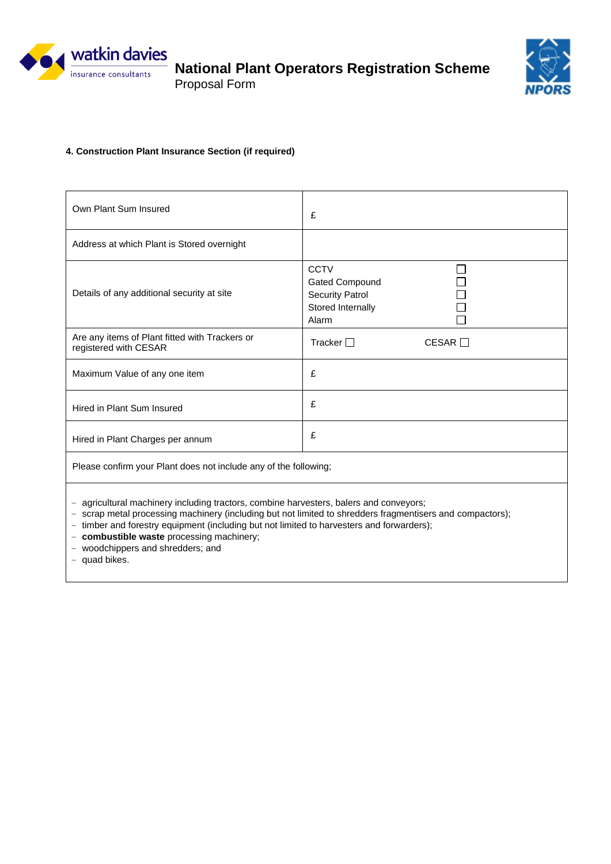

Proposal Form



### **4. Construction Plant Insurance Section (if required)**

| Own Plant Sum Insured                                                                                                                                                                                                                                                                                                                                                                               | £                                                                                            |  |  |  |  |
|-----------------------------------------------------------------------------------------------------------------------------------------------------------------------------------------------------------------------------------------------------------------------------------------------------------------------------------------------------------------------------------------------------|----------------------------------------------------------------------------------------------|--|--|--|--|
| Address at which Plant is Stored overnight                                                                                                                                                                                                                                                                                                                                                          |                                                                                              |  |  |  |  |
| Details of any additional security at site                                                                                                                                                                                                                                                                                                                                                          | <b>CCTV</b><br><b>Gated Compound</b><br><b>Security Patrol</b><br>Stored Internally<br>Alarm |  |  |  |  |
| Are any items of Plant fitted with Trackers or<br>registered with CESAR                                                                                                                                                                                                                                                                                                                             | Tracker $\Box$<br>CESAR                                                                      |  |  |  |  |
| Maximum Value of any one item                                                                                                                                                                                                                                                                                                                                                                       | £                                                                                            |  |  |  |  |
| Hired in Plant Sum Insured                                                                                                                                                                                                                                                                                                                                                                          | £                                                                                            |  |  |  |  |
| Hired in Plant Charges per annum                                                                                                                                                                                                                                                                                                                                                                    | £                                                                                            |  |  |  |  |
| Please confirm your Plant does not include any of the following;                                                                                                                                                                                                                                                                                                                                    |                                                                                              |  |  |  |  |
| - agricultural machinery including tractors, combine harvesters, balers and conveyors;<br>- scrap metal processing machinery (including but not limited to shredders fragmentisers and compactors);<br>- timber and forestry equipment (including but not limited to harvesters and forwarders);<br>- combustible waste processing machinery;<br>- woodchippers and shredders; and<br>- quad bikes. |                                                                                              |  |  |  |  |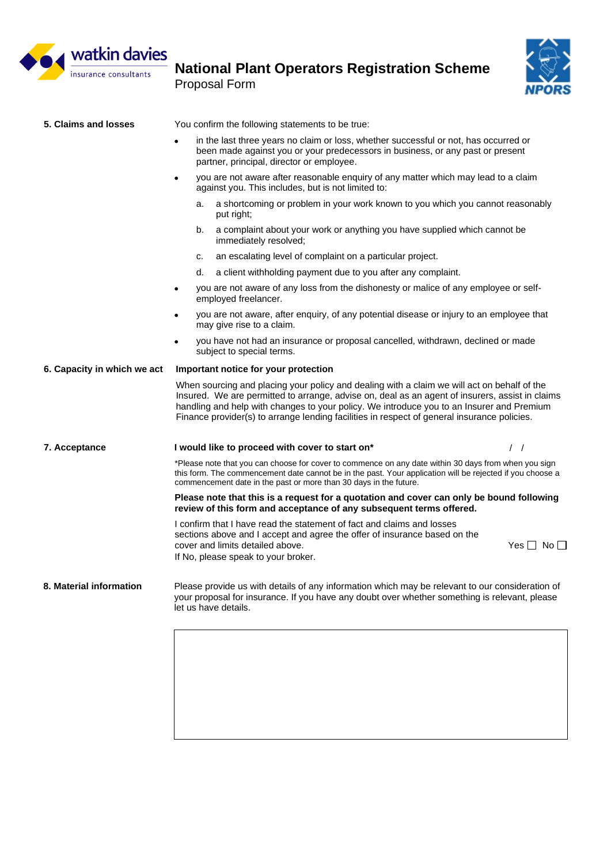

Proposal Form



| 5. Claims and losses        | You confirm the following statements to be true:                                                                                                                                                                                                                                                                                                                                           |  |  |  |  |  |
|-----------------------------|--------------------------------------------------------------------------------------------------------------------------------------------------------------------------------------------------------------------------------------------------------------------------------------------------------------------------------------------------------------------------------------------|--|--|--|--|--|
|                             | in the last three years no claim or loss, whether successful or not, has occurred or<br>been made against you or your predecessors in business, or any past or present<br>partner, principal, director or employee.                                                                                                                                                                        |  |  |  |  |  |
|                             | you are not aware after reasonable enquiry of any matter which may lead to a claim<br>$\bullet$<br>against you. This includes, but is not limited to:                                                                                                                                                                                                                                      |  |  |  |  |  |
|                             | a shortcoming or problem in your work known to you which you cannot reasonably<br>a.<br>put right;                                                                                                                                                                                                                                                                                         |  |  |  |  |  |
|                             | a complaint about your work or anything you have supplied which cannot be<br>b.<br>immediately resolved;                                                                                                                                                                                                                                                                                   |  |  |  |  |  |
|                             | an escalating level of complaint on a particular project.<br>c.                                                                                                                                                                                                                                                                                                                            |  |  |  |  |  |
|                             | d.<br>a client withholding payment due to you after any complaint.                                                                                                                                                                                                                                                                                                                         |  |  |  |  |  |
|                             | you are not aware of any loss from the dishonesty or malice of any employee or self-<br>$\bullet$<br>employed freelancer.                                                                                                                                                                                                                                                                  |  |  |  |  |  |
|                             | you are not aware, after enquiry, of any potential disease or injury to an employee that<br>٠<br>may give rise to a claim.                                                                                                                                                                                                                                                                 |  |  |  |  |  |
|                             | you have not had an insurance or proposal cancelled, withdrawn, declined or made<br>٠<br>subject to special terms.                                                                                                                                                                                                                                                                         |  |  |  |  |  |
| 6. Capacity in which we act | Important notice for your protection                                                                                                                                                                                                                                                                                                                                                       |  |  |  |  |  |
|                             | When sourcing and placing your policy and dealing with a claim we will act on behalf of the<br>Insured. We are permitted to arrange, advise on, deal as an agent of insurers, assist in claims<br>handling and help with changes to your policy. We introduce you to an Insurer and Premium<br>Finance provider(s) to arrange lending facilities in respect of general insurance policies. |  |  |  |  |  |
| 7. Acceptance               | I would like to proceed with cover to start on*<br>$\prime$ $\prime$                                                                                                                                                                                                                                                                                                                       |  |  |  |  |  |
|                             | *Please note that you can choose for cover to commence on any date within 30 days from when you sign<br>this form. The commencement date cannot be in the past. Your application will be rejected if you choose a<br>commencement date in the past or more than 30 days in the future.                                                                                                     |  |  |  |  |  |
|                             | Please note that this is a request for a quotation and cover can only be bound following<br>review of this form and acceptance of any subsequent terms offered.                                                                                                                                                                                                                            |  |  |  |  |  |
|                             | I confirm that I have read the statement of fact and claims and losses<br>sections above and I accept and agree the offer of insurance based on the<br>cover and limits detailed above.<br>Yes $\Box$ No $\Box$<br>If No, please speak to your broker.                                                                                                                                     |  |  |  |  |  |
| 8. Material information     | Please provide us with details of any information which may be relevant to our consideration of<br>your proposal for insurance. If you have any doubt over whether something is relevant, please<br>let us have details.                                                                                                                                                                   |  |  |  |  |  |
|                             |                                                                                                                                                                                                                                                                                                                                                                                            |  |  |  |  |  |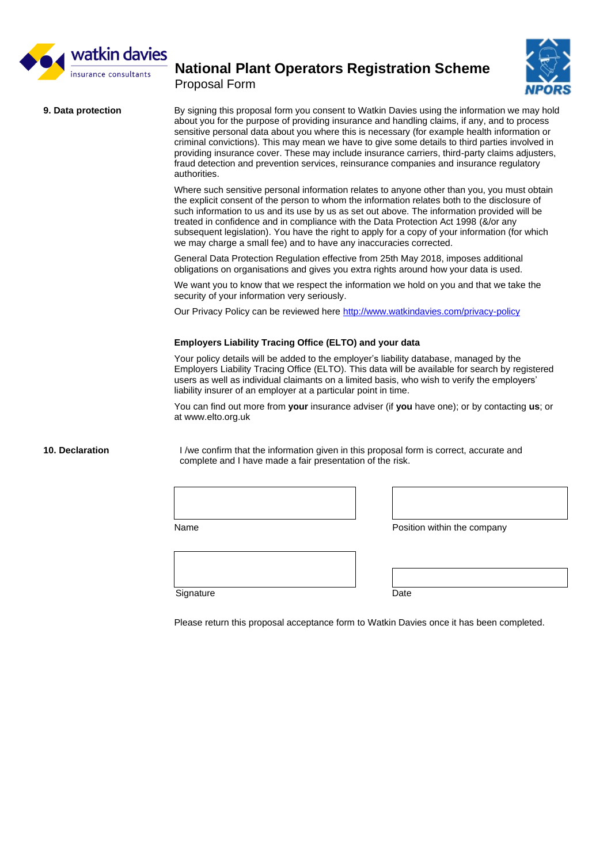

Proposal Form



**9. Data protection** By signing this proposal form you consent to Watkin Davies using the information we may hold about you for the purpose of providing insurance and handling claims, if any, and to process sensitive personal data about you where this is necessary (for example health information or criminal convictions). This may mean we have to give some details to third parties involved in providing insurance cover. These may include insurance carriers, third-party claims adjusters, fraud detection and prevention services, reinsurance companies and insurance regulatory authorities.

> Where such sensitive personal information relates to anyone other than you, you must obtain the explicit consent of the person to whom the information relates both to the disclosure of such information to us and its use by us as set out above. The information provided will be treated in confidence and in compliance with the Data Protection Act 1998 (&/or any subsequent legislation). You have the right to apply for a copy of your information (for which we may charge a small fee) and to have any inaccuracies corrected.

General Data Protection Regulation effective from 25th May 2018, imposes additional obligations on organisations and gives you extra rights around how your data is used.

We want you to know that we respect the information we hold on you and that we take the security of your information very seriously.

Our Privacy Policy can be reviewed here<http://www.watkindavies.com/privacy-policy>

#### **Employers Liability Tracing Office (ELTO) and your data**

Your policy details will be added to the employer's liability database, managed by the Employers Liability Tracing Office (ELTO). This data will be available for search by registered users as well as individual claimants on a limited basis, who wish to verify the employers' liability insurer of an employer at a particular point in time.

You can find out more from **your** insurance adviser (if **you** have one); or by contacting **us**; or at [www.elto.org.uk](http://www.elto.org.uk/)

**10. Declaration** I /we confirm that the information given in this proposal form is correct, accurate and complete and I have made a fair presentation of the risk.

Name **Position within the company** 

Signature Date

Please return this proposal acceptance form to Watkin Davies once it has been completed.